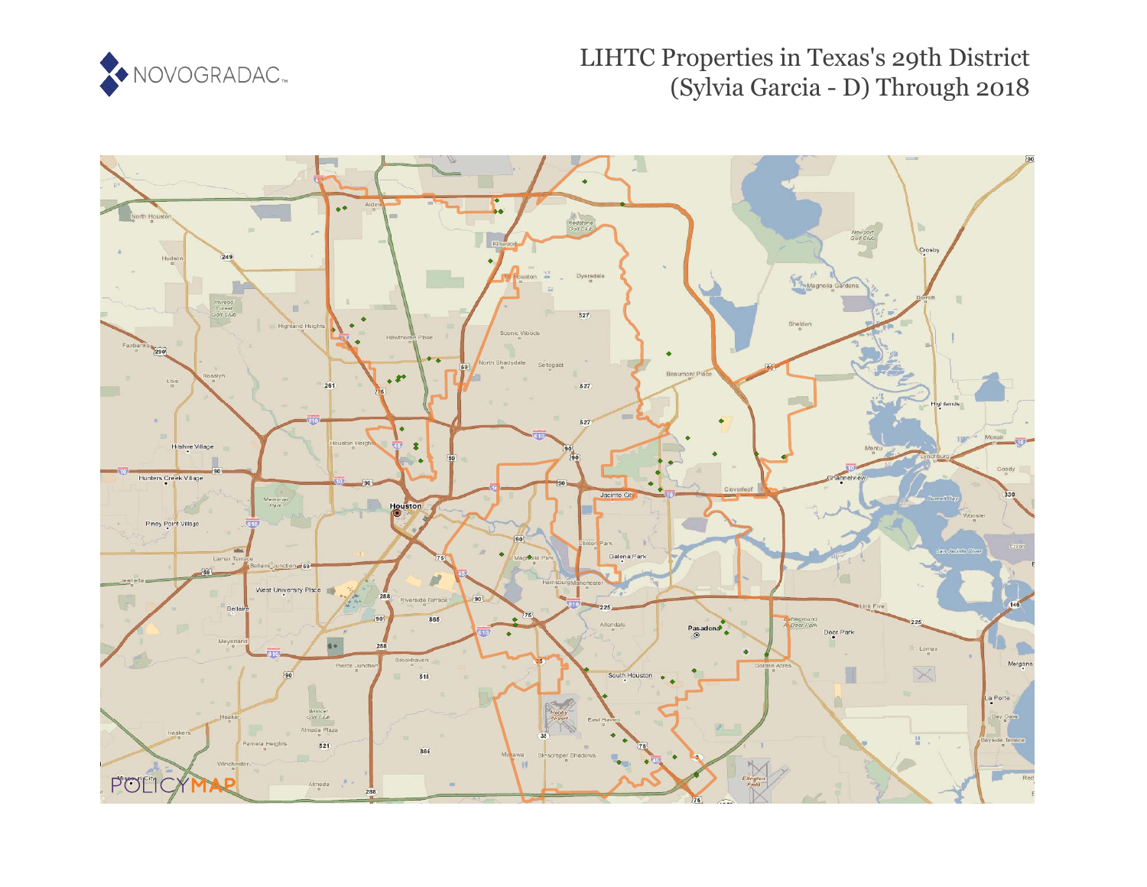

# LIHTC Properties in Texas's 29th District (Sylvia Garcia - D) Through 2018

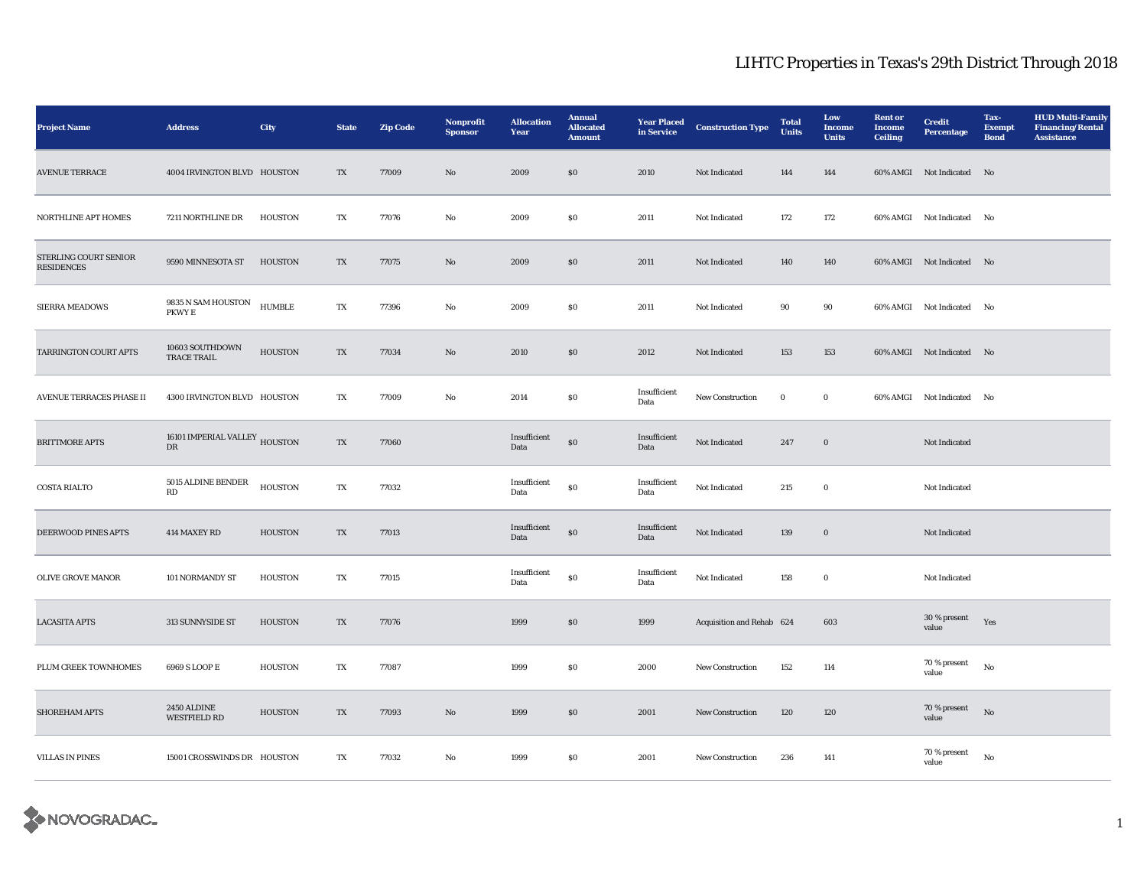| <b>Project Name</b>                        | <b>Address</b>                                  | <b>City</b>    | <b>State</b>             | <b>Zip Code</b> | Nonprofit<br><b>Sponsor</b> | <b>Allocation</b><br>Year | <b>Annual</b><br><b>Allocated</b><br><b>Amount</b> | <b>Year Placed</b><br>in Service | <b>Construction Type</b>  | <b>Total</b><br><b>Units</b> | Low<br><b>Income</b><br><b>Units</b> | <b>Rent or</b><br><b>Income</b><br><b>Ceiling</b> | <b>Credit</b><br><b>Percentage</b> | Tax-<br><b>Exempt</b><br><b>Bond</b> | <b>HUD Multi-Family</b><br><b>Financing/Rental</b><br><b>Assistance</b> |
|--------------------------------------------|-------------------------------------------------|----------------|--------------------------|-----------------|-----------------------------|---------------------------|----------------------------------------------------|----------------------------------|---------------------------|------------------------------|--------------------------------------|---------------------------------------------------|------------------------------------|--------------------------------------|-------------------------------------------------------------------------|
| <b>AVENUE TERRACE</b>                      | 4004 IRVINGTON BLVD HOUSTON                     |                | $\mathcal{T}\mathcal{X}$ | 77009           | No                          | 2009                      | $\$0$                                              | 2010                             | Not Indicated             | 144                          | 144                                  |                                                   | 60% AMGI Not Indicated No          |                                      |                                                                         |
| <b>NORTHLINE APT HOMES</b>                 | 7211 NORTHLINE DR                               | <b>HOUSTON</b> | TX                       | 77076           | No                          | 2009                      | S <sub>0</sub>                                     | 2011                             | Not Indicated             | 172                          | 172                                  |                                                   | 60% AMGI Not Indicated             | No                                   |                                                                         |
| STERLING COURT SENIOR<br><b>RESIDENCES</b> | 9590 MINNESOTA ST                               | HOUSTON        | $\mathcal{T}\mathcal{X}$ | 77075           | No                          | 2009                      | $\$0$                                              | 2011                             | Not Indicated             | 140                          | 140                                  |                                                   | 60% AMGI Not Indicated No          |                                      |                                                                         |
| <b>SIERRA MEADOWS</b>                      | $9835$ N SAM HOUSTON<br>PKWY E                  | <b>HUMBLE</b>  | TX                       | 77396           | No                          | 2009                      | S <sub>0</sub>                                     | 2011                             | Not Indicated             | 90                           | 90                                   |                                                   | 60% AMGI Not Indicated             | No                                   |                                                                         |
| TARRINGTON COURT APTS                      | 10603 SOUTHDOWN<br><b>TRACE TRAIL</b>           | <b>HOUSTON</b> | TX                       | 77034           | No                          | 2010                      | \$0\$                                              | 2012                             | Not Indicated             | 153                          | 153                                  |                                                   | 60% AMGI Not Indicated No          |                                      |                                                                         |
| <b>AVENUE TERRACES PHASE II</b>            | 4300 IRVINGTON BLVD HOUSTON                     |                | TX                       | 77009           | No                          | 2014                      | S <sub>0</sub>                                     | Insufficient<br>Data             | <b>New Construction</b>   | $\bf{0}$                     | $\bf{0}$                             |                                                   | 60% AMGI Not Indicated             | No                                   |                                                                         |
| <b>BRITTMORE APTS</b>                      | 16101 IMPERIAL VALLEY $_{\hbox{HOUSTON}}$<br>DR |                | TX                       | 77060           |                             | Insufficient<br>Data      | $\$0$                                              | Insufficient<br>Data             | Not Indicated             | 247                          | $\mathbf 0$                          |                                                   | Not Indicated                      |                                      |                                                                         |
| <b>COSTA RIALTO</b>                        | $5015$ ALDINE BENDER<br>$\mathbf{R}\mathbf{D}$  | <b>HOUSTON</b> | TX                       | 77032           |                             | Insufficient<br>Data      | ${\bf S0}$                                         | Insufficient<br>Data             | Not Indicated             | 215                          | $\bf{0}$                             |                                                   | Not Indicated                      |                                      |                                                                         |
| DEERWOOD PINES APTS                        | 414 MAXEY RD                                    | <b>HOUSTON</b> | TX                       | 77013           |                             | Insufficient<br>Data      | $\$0$                                              | Insufficient<br>Data             | Not Indicated             | 139                          | $\boldsymbol{0}$                     |                                                   | Not Indicated                      |                                      |                                                                         |
| <b>OLIVE GROVE MANOR</b>                   | 101 NORMANDY ST                                 | HOUSTON        | TX                       | 77015           |                             | Insufficient<br>Data      | $\$0$                                              | Insufficient<br>Data             | Not Indicated             | 158                          | $\mathbf 0$                          |                                                   | Not Indicated                      |                                      |                                                                         |
| <b>LACASITA APTS</b>                       | 313 SUNNYSIDE ST                                | <b>HOUSTON</b> | TX                       | 77076           |                             | 1999                      | \$0                                                | 1999                             | Acquisition and Rehab 624 |                              | 603                                  |                                                   | 30 % present<br>value              | Yes                                  |                                                                         |
| PLUM CREEK TOWNHOMES                       | 6969 S LOOP E                                   | <b>HOUSTON</b> | TX                       | 77087           |                             | 1999                      | $\boldsymbol{\mathsf{S}}\boldsymbol{\mathsf{0}}$   | 2000                             | New Construction          | 152                          | 114                                  |                                                   | 70 % present<br>value              | $\rm No$                             |                                                                         |
| SHOREHAM APTS                              | 2450 ALDINE<br><b>WESTFIELD RD</b>              | <b>HOUSTON</b> | TX                       | 77093           | No                          | 1999                      | \$0                                                | 2001                             | <b>New Construction</b>   | 120                          | 120                                  |                                                   | 70 % present<br>value              | No                                   |                                                                         |
| <b>VILLAS IN PINES</b>                     | 15001 CROSSWINDS DR HOUSTON                     |                | TX                       | 77032           | No                          | 1999                      | S <sub>0</sub>                                     | 2001                             | New Construction          | 236                          | 141                                  |                                                   | 70 % present<br>value              | $\rm No$                             |                                                                         |

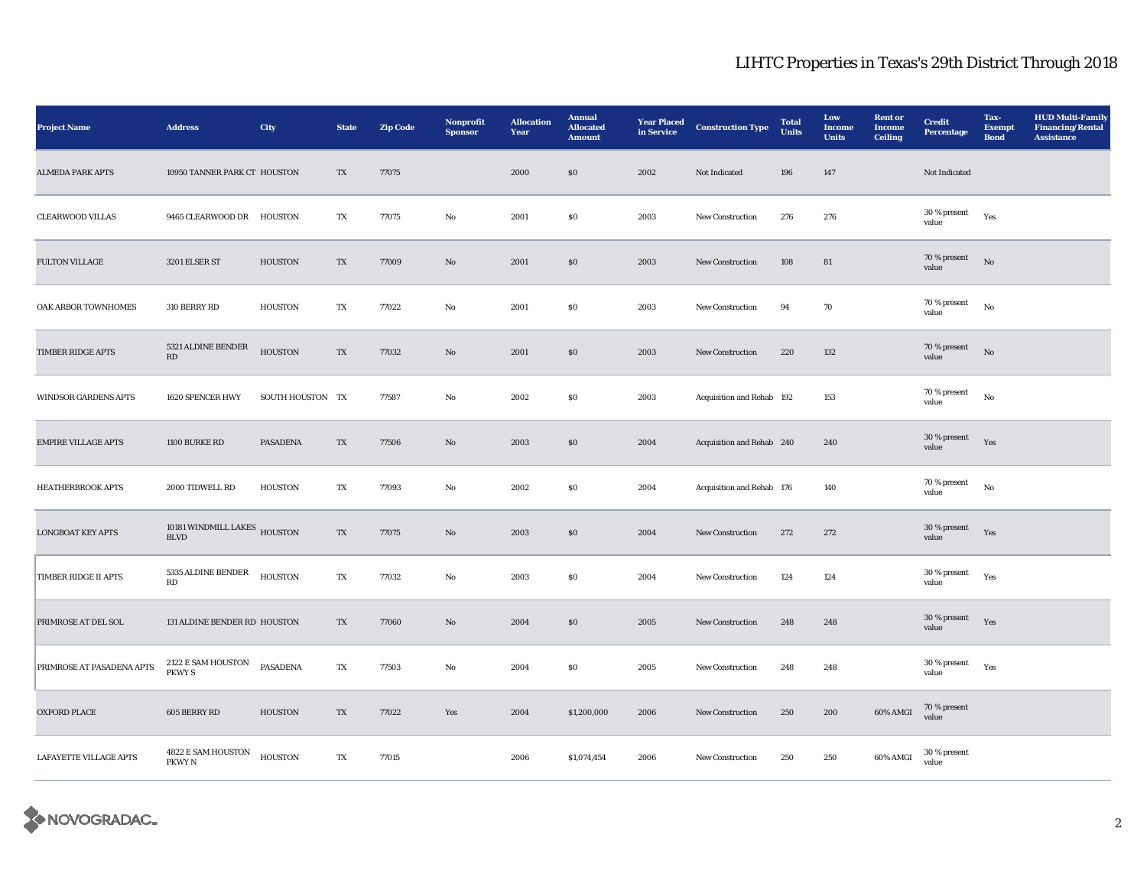| <b>Project Name</b>           | <b>Address</b>                              | City             | <b>State</b> | Zip Code | Nonprofit<br><b>Sponsor</b> | <b>Allocation</b><br>Year | <b>Annual</b><br><b>Allocated</b><br><b>Amount</b> | <b>Year Placed</b><br>in Service | <b>Construction Type</b>  | <b>Total</b><br><b>Units</b> | Low<br><b>Income</b><br><b>Units</b> | <b>Rent or</b><br><b>Income</b><br><b>Ceiling</b> | <b>Credit</b><br><b>Percentage</b> | Tax-<br><b>Exempt</b><br><b>Bond</b> | <b>HUD Multi-Family</b><br><b>Financing/Rental</b><br><b>Assistance</b> |
|-------------------------------|---------------------------------------------|------------------|--------------|----------|-----------------------------|---------------------------|----------------------------------------------------|----------------------------------|---------------------------|------------------------------|--------------------------------------|---------------------------------------------------|------------------------------------|--------------------------------------|-------------------------------------------------------------------------|
| <b>ALMEDA PARK APTS</b>       | 10950 TANNER PARK CT HOUSTON                |                  | TX           | 77075    |                             | 2000                      | $\$0$                                              | 2002                             | Not Indicated             | 196                          | 147                                  |                                                   | Not Indicated                      |                                      |                                                                         |
| <b>CLEARWOOD VILLAS</b>       | 9465 CLEARWOOD DR HOUSTON                   |                  | TX           | 77075    | $\rm No$                    | 2001                      | $\$0$                                              | 2003                             | New Construction          | 276                          | 276                                  |                                                   | 30 % present<br>value              | Yes                                  |                                                                         |
| FULTON VILLAGE                | 3201 ELSER ST                               | <b>HOUSTON</b>   | TX           | 77009    | $\mathbf{N}\mathbf{o}$      | 2001                      | $\$0$                                              | 2003                             | New Construction          | 108                          | 81                                   |                                                   | 70 % present<br>value              | No                                   |                                                                         |
| OAK ARBOR TOWNHOMES           | 310 BERRY RD                                | <b>HOUSTON</b>   | TX           | 77022    | No                          | 2001                      | $\$0$                                              | 2003                             | New Construction          | 94                           | 70                                   |                                                   | 70 % present<br>value              | No                                   |                                                                         |
| TIMBER RIDGE APTS             | 5321 ALDINE BENDER<br>RD                    | <b>HOUSTON</b>   | TX           | 77032    | $\rm\thinspace No$          | 2001                      | $\$0$                                              | 2003                             | New Construction          | 220                          | 132                                  |                                                   | 70 % present<br>value              | $_{\rm No}$                          |                                                                         |
| <b>WINDSOR GARDENS APTS</b>   | 1620 SPENCER HWY                            | SOUTH HOUSTON TX |              | 77587    | $\rm No$                    | 2002                      | $\$0$                                              | 2003                             | Acquisition and Rehab 192 |                              | 153                                  |                                                   | 70 % present<br>value              | $_{\rm No}$                          |                                                                         |
| <b>EMPIRE VILLAGE APTS</b>    | 1100 BURKE RD                               | PASADENA         | TX           | 77506    | $\mathbf{N}\mathbf{o}$      | 2003                      | $\$0$                                              | 2004                             | Acquisition and Rehab 240 |                              | 240                                  |                                                   | 30 % present<br>value              | Yes                                  |                                                                         |
| <b>HEATHERBROOK APTS</b>      | 2000 TIDWELL RD                             | <b>HOUSTON</b>   | TX           | 77093    | $\mathbf{No}$               | 2002                      | $\$0$                                              | 2004                             | Acquisition and Rehab 176 |                              | 140                                  |                                                   | 70 % present<br>value              | $_{\rm No}$                          |                                                                         |
| <b>LONGBOAT KEY APTS</b>      | 10181 WINDMILL LAKES HOUSTON<br><b>BLVD</b> |                  | TX           | 77075    | $\mathbf{N}\mathbf{o}$      | 2003                      | \$0                                                | 2004                             | New Construction          | 272                          | 272                                  |                                                   | 30 % present<br>value              | Yes                                  |                                                                         |
| <b>TIMBER RIDGE II APTS</b>   | 5335 ALDINE BENDER<br>RD                    | <b>HOUSTON</b>   | TX           | 77032    | No                          | 2003                      | $\$0$                                              | 2004                             | <b>New Construction</b>   | 124                          | 124                                  |                                                   | 30 % present<br>value              | Yes                                  |                                                                         |
| PRIMROSE AT DEL SOL           | 131 ALDINE BENDER RD HOUSTON                |                  | TX           | 77060    | $\mathbf{N}\mathbf{o}$      | 2004                      | \$0                                                | 2005                             | New Construction          | 248                          | 248                                  |                                                   | 30 % present<br>value              | Yes                                  |                                                                         |
| PRIMROSE AT PASADENA APTS     | 2122 E SAM HOUSTON<br><b>PKWY S</b>         | <b>PASADENA</b>  | TX           | 77503    | No                          | 2004                      | $\boldsymbol{\mathsf{S}}\boldsymbol{\mathsf{O}}$   | 2005                             | New Construction          | 248                          | 248                                  |                                                   | 30 % present<br>value              | Yes                                  |                                                                         |
| <b>OXFORD PLACE</b>           | 605 BERRY RD                                | <b>HOUSTON</b>   | TX           | 77022    | Yes                         | 2004                      | \$1,200,000                                        | 2006                             | New Construction          | 250                          | 200                                  | 60% AMGI                                          | 70 % present<br>value              |                                      |                                                                         |
| <b>LAFAYETTE VILLAGE APTS</b> | 4822 E SAM HOUSTON<br>PKWY N                | <b>HOUSTON</b>   | TX           | 77015    |                             | 2006                      | \$1,074,454                                        | 2006                             | <b>New Construction</b>   | 250                          | 250                                  | 60% AMGI                                          | 30 % present<br>value              |                                      |                                                                         |

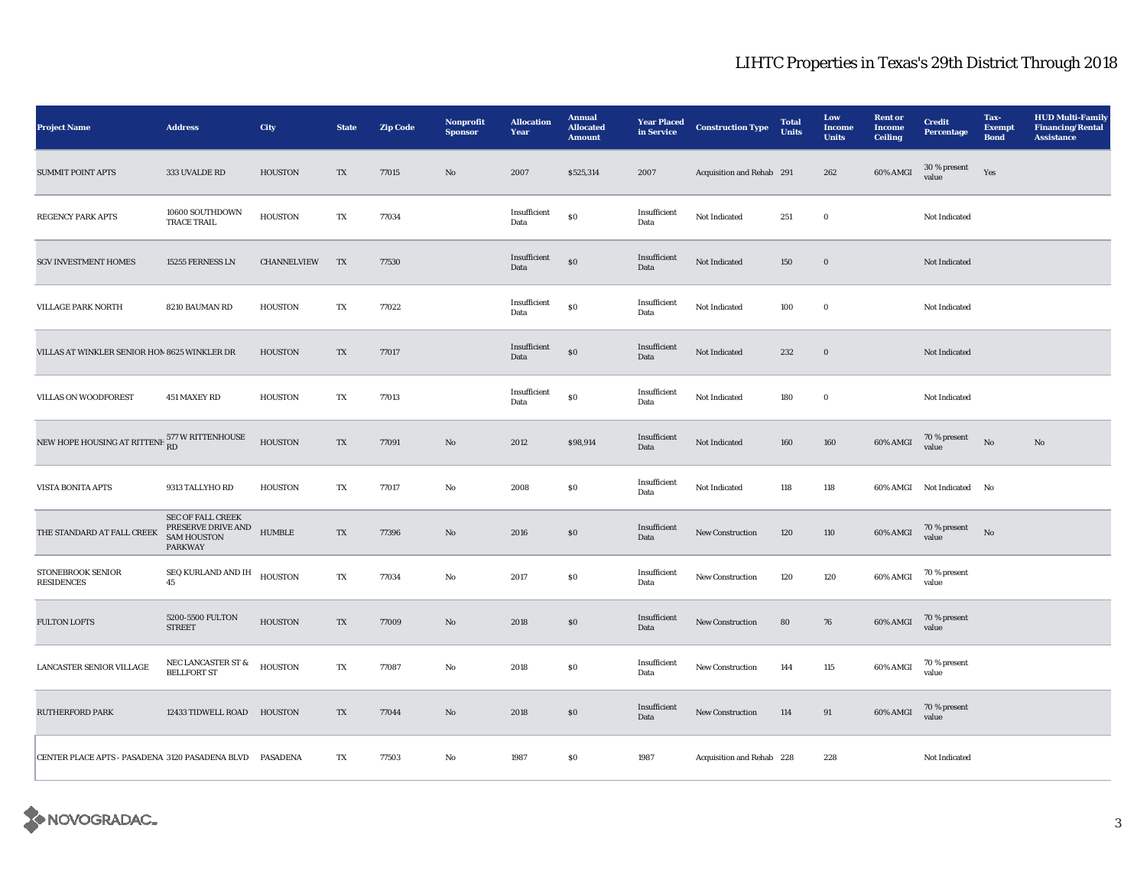| <b>Project Name</b>                                         | <b>Address</b>                                                                         | <b>City</b>        | <b>State</b>            | <b>Zip Code</b> | Nonprofit<br><b>Sponsor</b> | <b>Allocation</b><br>Year | <b>Annual</b><br><b>Allocated</b><br><b>Amount</b> | <b>Year Placed</b><br>in Service | <b>Construction Type</b>  | <b>Total</b><br><b>Units</b> | Low<br><b>Income</b><br><b>Units</b> | <b>Rent or</b><br><b>Income</b><br><b>Ceiling</b> | <b>Credit</b><br><b>Percentage</b> | Tax-<br><b>Exempt</b><br><b>Bond</b> | <b>HUD Multi-Family</b><br><b>Financing/Rental</b><br><b>Assistance</b> |
|-------------------------------------------------------------|----------------------------------------------------------------------------------------|--------------------|-------------------------|-----------------|-----------------------------|---------------------------|----------------------------------------------------|----------------------------------|---------------------------|------------------------------|--------------------------------------|---------------------------------------------------|------------------------------------|--------------------------------------|-------------------------------------------------------------------------|
| <b>SUMMIT POINT APTS</b>                                    | 333 UVALDE RD                                                                          | <b>HOUSTON</b>     | $\mathbf{T}\mathbf{X}$  | 77015           | $\rm \bf No$                | 2007                      | \$525,314                                          | 2007                             | Acquisition and Rehab 291 |                              | 262                                  | 60% AMGI                                          | 30 % present<br>value              | Yes                                  |                                                                         |
| <b>REGENCY PARK APTS</b>                                    | 10600 SOUTHDOWN<br>TRACE TRAIL                                                         | <b>HOUSTON</b>     | TX                      | 77034           |                             | Insufficient<br>Data      | $\$0$                                              | Insufficient<br>Data             | Not Indicated             | 251                          | $\mathbf 0$                          |                                                   | Not Indicated                      |                                      |                                                                         |
| <b>SGV INVESTMENT HOMES</b>                                 | 15255 FERNESS LN                                                                       | <b>CHANNELVIEW</b> | TX                      | 77530           |                             | Insufficient<br>Data      | $\$0$                                              | Insufficient<br>Data             | Not Indicated             | 150                          | $\mathbf 0$                          |                                                   | Not Indicated                      |                                      |                                                                         |
| <b>VILLAGE PARK NORTH</b>                                   | 8210 BAUMAN RD                                                                         | HOUSTON            | TX                      | 77022           |                             | Insufficient<br>Data      | ${\bf S0}$                                         | Insufficient<br>Data             | Not Indicated             | 100                          | $\mathbf 0$                          |                                                   | Not Indicated                      |                                      |                                                                         |
| VILLAS AT WINKLER SENIOR HOM 8625 WINKLER DR                |                                                                                        | <b>HOUSTON</b>     | TX                      | 77017           |                             | Insufficient<br>Data      | $\$0$                                              | Insufficient<br>Data             | Not Indicated             | 232                          | $\boldsymbol{0}$                     |                                                   | Not Indicated                      |                                      |                                                                         |
| VILLAS ON WOODFOREST                                        | 451 MAXEY RD                                                                           | <b>HOUSTON</b>     | $\mathbf{T} \mathbf{X}$ | 77013           |                             | Insufficient<br>Data      | $\$0$                                              | Insufficient<br>Data             | Not Indicated             | 180                          | $\mathbf 0$                          |                                                   | Not Indicated                      |                                      |                                                                         |
| NEW HOPE HOUSING AT RITTENH $_{\rm RD}^{577}$ W RITTENHOUSE |                                                                                        | <b>HOUSTON</b>     | TX                      | 77091           | $\mathbf{N}\mathbf{o}$      | 2012                      | \$98,914                                           | Insufficient<br>Data             | Not Indicated             | 160                          | 160                                  | 60% AMGI                                          | 70 % present<br>value              | No                                   | No                                                                      |
| VISTA BONITA APTS                                           | 9313 TALLYHO RD                                                                        | <b>HOUSTON</b>     | TX                      | 77017           | No                          | 2008                      | \$0\$                                              | Insufficient<br>Data             | Not Indicated             | 118                          | 118                                  |                                                   | 60% AMGI Not Indicated             | No                                   |                                                                         |
| THE STANDARD AT FALL CREEK                                  | <b>SEC OF FALL CREEK</b><br>PRESERVE DRIVE AND<br><b>SAM HOUSTON</b><br><b>PARKWAY</b> | <b>HUMBLE</b>      | TX                      | 77396           | $\mathbf{N}\mathbf{o}$      | 2016                      | $\$0$                                              | Insufficient<br>Data             | New Construction          | 120                          | 110                                  | 60% AMGI                                          | 70 % present<br>value              | No                                   |                                                                         |
| STONEBROOK SENIOR<br><b>RESIDENCES</b>                      | ${\rm SEQ}$ KURLAND AND ${\rm IH}$<br>45                                               | <b>HOUSTON</b>     | TX                      | 77034           | No                          | 2017                      | $\boldsymbol{\mathsf{S}}\boldsymbol{\mathsf{O}}$   | Insufficient<br>Data             | <b>New Construction</b>   | 120                          | 120                                  | 60% AMGI                                          | 70 % present<br>value              |                                      |                                                                         |
| <b>FULTON LOFTS</b>                                         | 5200-5500 FULTON<br><b>STREET</b>                                                      | <b>HOUSTON</b>     | TX                      | 77009           | $\mathbf{N}\mathbf{o}$      | 2018                      | $\bf{S0}$                                          | Insufficient<br>Data             | New Construction          | 80                           | 76                                   | 60% AMGI                                          | 70 % present<br>value              |                                      |                                                                         |
| LANCASTER SENIOR VILLAGE                                    | NEC LANCASTER ST $\&$<br><b>BELLFORT ST</b>                                            | <b>HOUSTON</b>     | TX                      | 77087           | No                          | 2018                      | $\$0$                                              | Insufficient<br>Data             | <b>New Construction</b>   | 144                          | 115                                  | 60% AMGI                                          | 70 % present<br>value              |                                      |                                                                         |
| <b>RUTHERFORD PARK</b>                                      | 12433 TIDWELL ROAD HOUSTON                                                             |                    | TX                      | 77044           | $\mathbf{N}\mathbf{o}$      | 2018                      | $\$0$                                              | Insufficient<br>Data             | New Construction          | 114                          | 91                                   | 60% AMGI                                          | 70 % present<br>value              |                                      |                                                                         |
| CENTER PLACE APTS - PASADENA 3120 PASADENA BLVD PASADENA    |                                                                                        |                    | TX                      | 77503           | No                          | 1987                      | ${\bf S0}$                                         | 1987                             | Acquisition and Rehab 228 |                              | 228                                  |                                                   | Not Indicated                      |                                      |                                                                         |

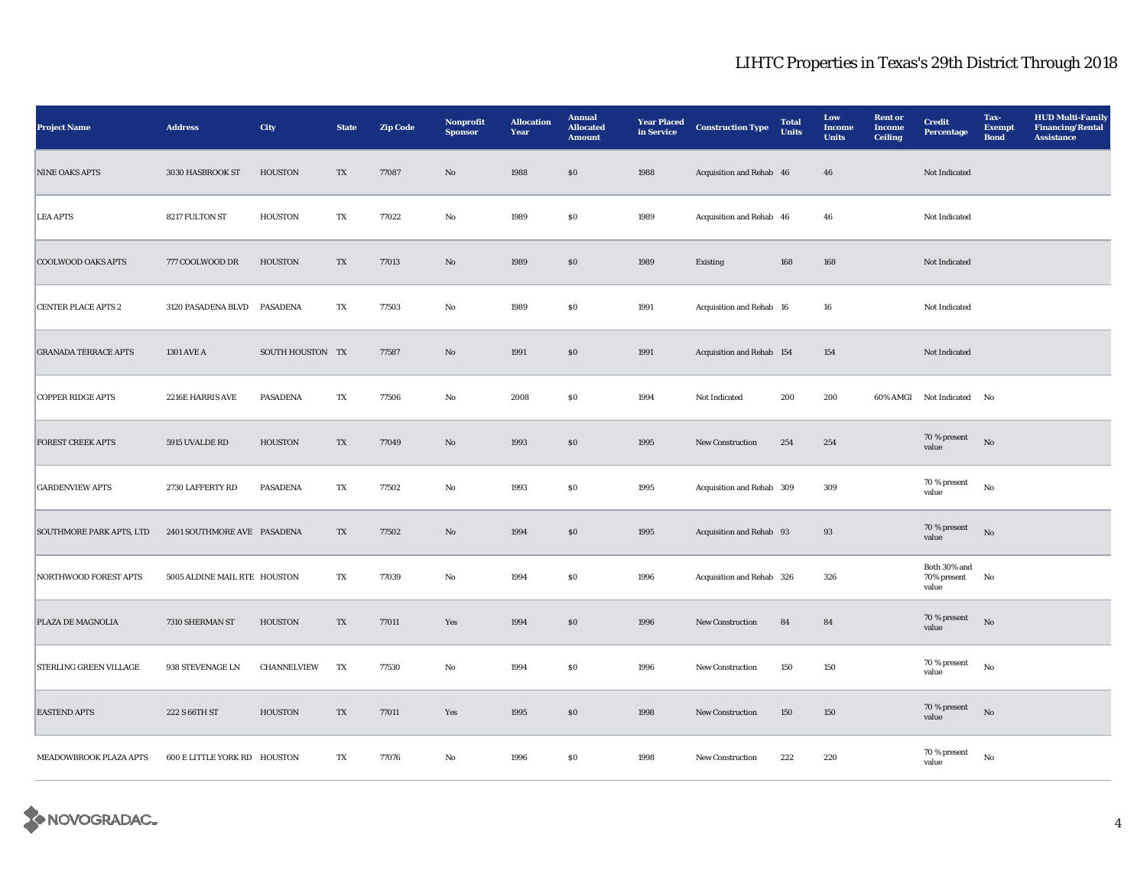| <b>Project Name</b>             | <b>Address</b>                      | City             | <b>State</b> | <b>Zip Code</b> | Nonprofit<br><b>Sponsor</b> | <b>Allocation</b><br>Year | <b>Annual</b><br><b>Allocated</b><br><b>Amount</b> | <b>Year Placed</b><br>in Service | <b>Construction Type</b>  | <b>Total</b><br><b>Units</b> | Low<br><b>Income</b><br><b>Units</b> | <b>Rent or</b><br><b>Income</b><br><b>Ceiling</b> | <b>Credit</b><br><b>Percentage</b>   | Tax-<br><b>Exempt</b><br><b>Bond</b> | <b>HUD Multi-Family</b><br><b>Financing/Rental</b><br><b>Assistance</b> |
|---------------------------------|-------------------------------------|------------------|--------------|-----------------|-----------------------------|---------------------------|----------------------------------------------------|----------------------------------|---------------------------|------------------------------|--------------------------------------|---------------------------------------------------|--------------------------------------|--------------------------------------|-------------------------------------------------------------------------|
| <b>NINE OAKS APTS</b>           | 3030 HASBROOK ST                    | <b>HOUSTON</b>   | TX           | 77087           | $\rm No$                    | 1988                      | $\$0$                                              | 1988                             | Acquisition and Rehab 46  |                              | 46                                   |                                                   | Not Indicated                        |                                      |                                                                         |
| <b>LEA APTS</b>                 | 8217 FULTON ST                      | <b>HOUSTON</b>   | TX           | 77022           | $\rm No$                    | 1989                      | ${\bf S0}$                                         | 1989                             | Acquisition and Rehab 46  |                              | 46                                   |                                                   | Not Indicated                        |                                      |                                                                         |
| <b>COOLWOOD OAKS APTS</b>       | 777 COOLWOOD DR                     | <b>HOUSTON</b>   | TX           | 77013           | $\rm No$                    | 1989                      | $\$0$                                              | 1989                             | Existing                  | 168                          | 168                                  |                                                   | Not Indicated                        |                                      |                                                                         |
| <b>CENTER PLACE APTS 2</b>      | 3120 PASADENA BLVD                  | PASADENA         | TX           | 77503           | $\rm No$                    | 1989                      | $\$0$                                              | 1991                             | Acquisition and Rehab 16  |                              | $16\,$                               |                                                   | Not Indicated                        |                                      |                                                                         |
| <b>GRANADA TERRACE APTS</b>     | 1301 AVE A                          | SOUTH HOUSTON TX |              | 77587           | $\rm No$                    | 1991                      | $\$0$                                              | 1991                             | Acquisition and Rehab 154 |                              | 154                                  |                                                   | Not Indicated                        |                                      |                                                                         |
| <b>COPPER RIDGE APTS</b>        | 2216E HARRIS AVE                    | <b>PASADENA</b>  | TX           | 77506           | $\rm No$                    | 2008                      | ${\bf S0}$                                         | 1994                             | Not Indicated             | 200                          | 200                                  |                                                   | 60% AMGI Not Indicated No            |                                      |                                                                         |
| <b>FOREST CREEK APTS</b>        | 5915 UVALDE RD                      | <b>HOUSTON</b>   | TX           | 77049           | No                          | 1993                      | \$0                                                | 1995                             | <b>New Construction</b>   | 254                          | 254                                  |                                                   | 70 % present<br>value                | No                                   |                                                                         |
| <b>GARDENVIEW APTS</b>          | 2730 LAFFERTY RD                    | <b>PASADENA</b>  | TX           | 77502           | $\rm No$                    | 1993                      | $\$0$                                              | 1995                             | Acquisition and Rehab 309 |                              | 309                                  |                                                   | 70 % present<br>value                | $_{\rm No}$                          |                                                                         |
| <b>SOUTHMORE PARK APTS, LTD</b> | 2401 SOUTHMORE AVE PASADENA         |                  | TX           | 77502           | No                          | 1994                      | \$0                                                | 1995                             | Acquisition and Rehab 93  |                              | 93                                   |                                                   | 70 % present<br>value                | $_{\rm No}$                          |                                                                         |
| NORTHWOOD FOREST APTS           | 5005 ALDINE MAIL RTE HOUSTON        |                  | TX           | 77039           | $_{\rm No}$                 | 1994                      | $\$0$                                              | 1996                             | Acquisition and Rehab 326 |                              | 326                                  |                                                   | Both 30% and<br>70% present<br>value | No                                   |                                                                         |
| PLAZA DE MAGNOLIA               | 7310 SHERMAN ST                     | <b>HOUSTON</b>   | TX           | 77011           | Yes                         | 1994                      | \$0                                                | 1996                             | <b>New Construction</b>   | 84                           | 84                                   |                                                   | 70 % present<br>value                | No                                   |                                                                         |
| <b>STERLING GREEN VILLAGE</b>   | 938 STEVENAGE LN                    | CHANNELVIEW      | TX           | 77530           | $\rm No$                    | 1994                      | $\$0$                                              | 1996                             | New Construction          | 150                          | 150                                  |                                                   | 70 % present<br>value                | $_{\rm No}$                          |                                                                         |
| <b>EASTEND APTS</b>             | 222 S 66TH ST                       | <b>HOUSTON</b>   | TX           | 77011           | Yes                         | 1995                      | SO                                                 | 1998                             | New Construction          | 150                          | 150                                  |                                                   | 70 % present<br>value                | $\rm No$                             |                                                                         |
| MEADOWBROOK PLAZA APTS          | <b>600 E LITTLE YORK RD HOUSTON</b> |                  | TX           | 77076           | No                          | 1996                      | $\$0$                                              | 1998                             | New Construction          | 222                          | 220                                  |                                                   | 70 % present<br>value                | $\rm No$                             |                                                                         |